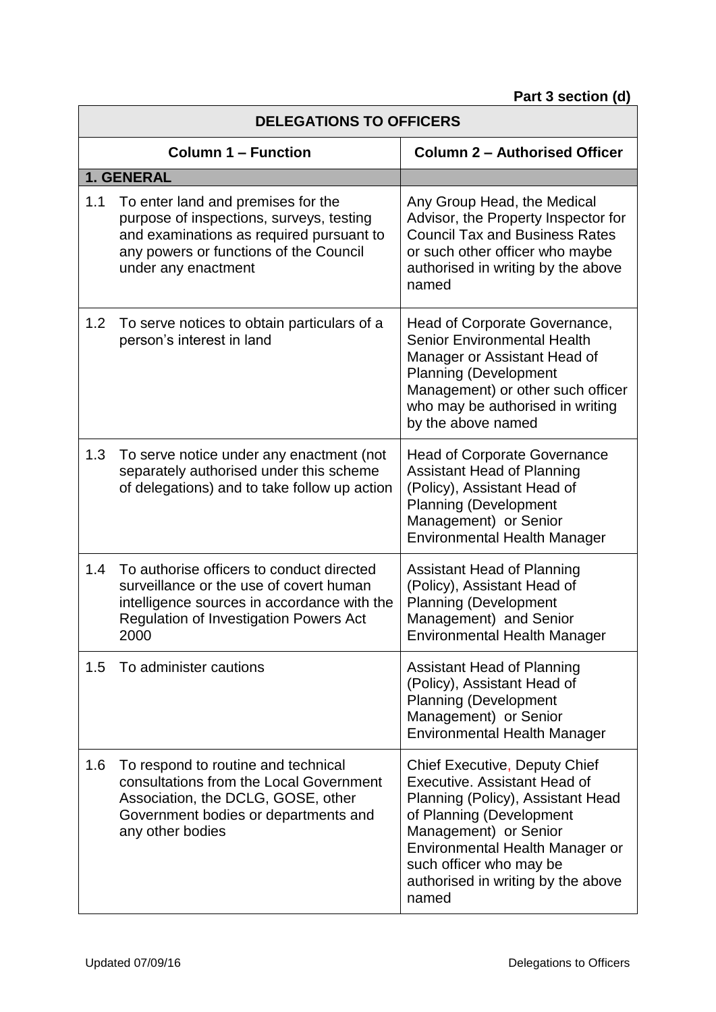| <b>DELEGATIONS TO OFFICERS</b> |                                                                                                                                                                                              |                                                                                                                                                                                                                                                                             |
|--------------------------------|----------------------------------------------------------------------------------------------------------------------------------------------------------------------------------------------|-----------------------------------------------------------------------------------------------------------------------------------------------------------------------------------------------------------------------------------------------------------------------------|
| <b>Column 1 - Function</b>     |                                                                                                                                                                                              | <b>Column 2 - Authorised Officer</b>                                                                                                                                                                                                                                        |
|                                | 1. GENERAL                                                                                                                                                                                   |                                                                                                                                                                                                                                                                             |
| 1.1                            | To enter land and premises for the<br>purpose of inspections, surveys, testing<br>and examinations as required pursuant to<br>any powers or functions of the Council<br>under any enactment  | Any Group Head, the Medical<br>Advisor, the Property Inspector for<br><b>Council Tax and Business Rates</b><br>or such other officer who maybe<br>authorised in writing by the above<br>named                                                                               |
| 1.2                            | To serve notices to obtain particulars of a<br>person's interest in land                                                                                                                     | Head of Corporate Governance,<br><b>Senior Environmental Health</b><br>Manager or Assistant Head of<br><b>Planning (Development</b><br>Management) or other such officer<br>who may be authorised in writing<br>by the above named                                          |
| 1.3                            | To serve notice under any enactment (not<br>separately authorised under this scheme<br>of delegations) and to take follow up action                                                          | <b>Head of Corporate Governance</b><br><b>Assistant Head of Planning</b><br>(Policy), Assistant Head of<br><b>Planning (Development</b><br>Management) or Senior<br><b>Environmental Health Manager</b>                                                                     |
| 1.4                            | To authorise officers to conduct directed<br>surveillance or the use of covert human<br>intelligence sources in accordance with the<br><b>Regulation of Investigation Powers Act</b><br>2000 | <b>Assistant Head of Planning</b><br>(Policy), Assistant Head of<br><b>Planning (Development</b><br>Management) and Senior<br><b>Environmental Health Manager</b>                                                                                                           |
| 1.5                            | To administer cautions                                                                                                                                                                       | <b>Assistant Head of Planning</b><br>(Policy), Assistant Head of<br><b>Planning (Development</b><br>Management) or Senior<br><b>Environmental Health Manager</b>                                                                                                            |
| 1.6                            | To respond to routine and technical<br>consultations from the Local Government<br>Association, the DCLG, GOSE, other<br>Government bodies or departments and<br>any other bodies             | <b>Chief Executive, Deputy Chief</b><br>Executive. Assistant Head of<br>Planning (Policy), Assistant Head<br>of Planning (Development<br>Management) or Senior<br>Environmental Health Manager or<br>such officer who may be<br>authorised in writing by the above<br>named |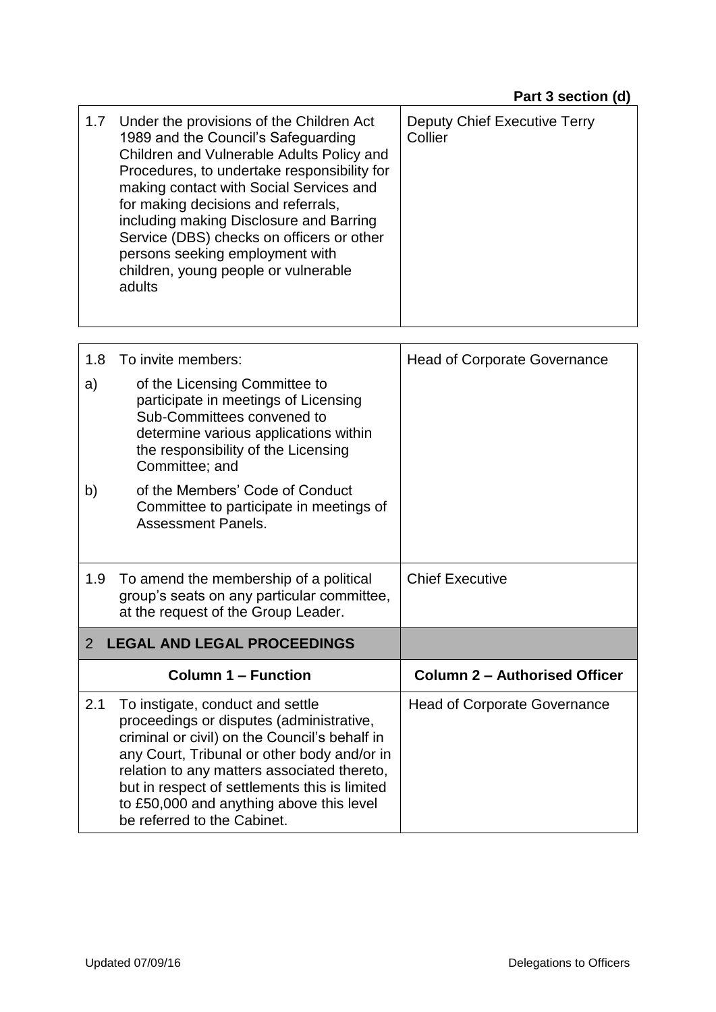| Under the provisions of the Children Act<br><b>Deputy Chief Executive Terry</b><br>1.7<br>1989 and the Council's Safeguarding<br>Collier<br>Children and Vulnerable Adults Policy and<br>Procedures, to undertake responsibility for<br>making contact with Social Services and<br>for making decisions and referrals,<br>including making Disclosure and Barring<br>Service (DBS) checks on officers or other<br>persons seeking employment with<br>children, young people or vulnerable<br>adults |  |
|-----------------------------------------------------------------------------------------------------------------------------------------------------------------------------------------------------------------------------------------------------------------------------------------------------------------------------------------------------------------------------------------------------------------------------------------------------------------------------------------------------|--|
|-----------------------------------------------------------------------------------------------------------------------------------------------------------------------------------------------------------------------------------------------------------------------------------------------------------------------------------------------------------------------------------------------------------------------------------------------------------------------------------------------------|--|

| 1.8                                                  | To invite members:                                                                                                                                                                                                                                                                                                                                      | <b>Head of Corporate Governance</b>  |
|------------------------------------------------------|---------------------------------------------------------------------------------------------------------------------------------------------------------------------------------------------------------------------------------------------------------------------------------------------------------------------------------------------------------|--------------------------------------|
| a)                                                   | of the Licensing Committee to<br>participate in meetings of Licensing<br>Sub-Committees convened to<br>determine various applications within<br>the responsibility of the Licensing<br>Committee; and                                                                                                                                                   |                                      |
| b)                                                   | of the Members' Code of Conduct<br>Committee to participate in meetings of<br><b>Assessment Panels.</b>                                                                                                                                                                                                                                                 |                                      |
| 1.9                                                  | To amend the membership of a political<br>group's seats on any particular committee,<br>at the request of the Group Leader.                                                                                                                                                                                                                             | <b>Chief Executive</b>               |
| <b>LEGAL AND LEGAL PROCEEDINGS</b><br>$\overline{2}$ |                                                                                                                                                                                                                                                                                                                                                         |                                      |
|                                                      | <b>Column 1 – Function</b>                                                                                                                                                                                                                                                                                                                              | <b>Column 2 - Authorised Officer</b> |
| 2.1                                                  | To instigate, conduct and settle<br>proceedings or disputes (administrative,<br>criminal or civil) on the Council's behalf in<br>any Court, Tribunal or other body and/or in<br>relation to any matters associated thereto,<br>but in respect of settlements this is limited<br>to £50,000 and anything above this level<br>be referred to the Cabinet. | <b>Head of Corporate Governance</b>  |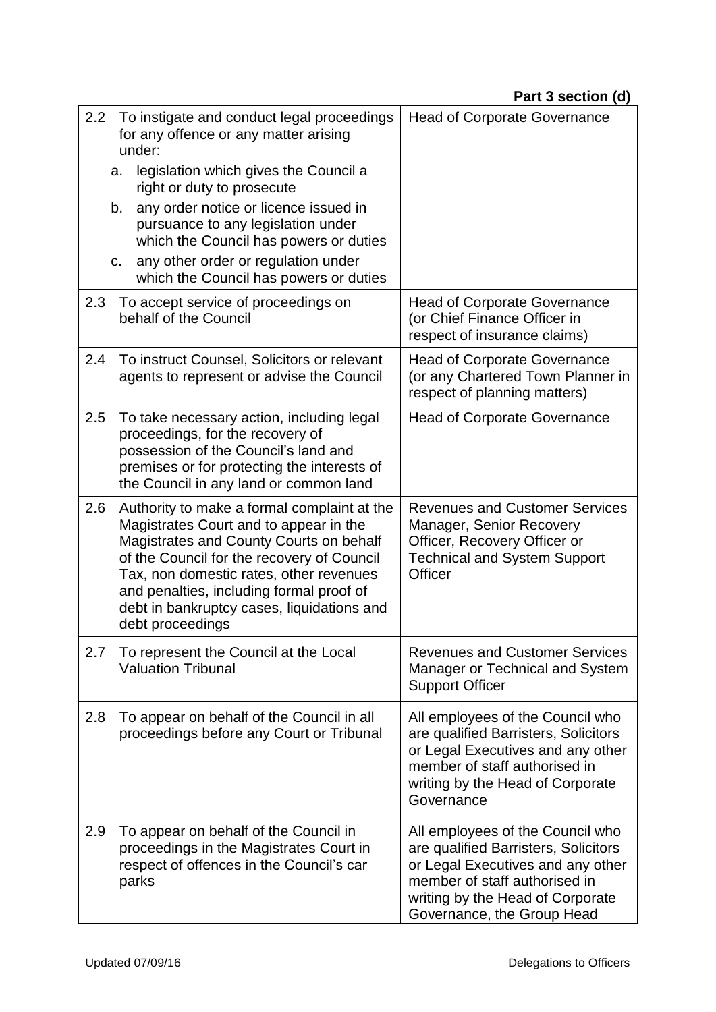|     | 2.2 To instigate and conduct legal proceedings<br>for any offence or any matter arising<br>under:                                                                                                                                                                                                                                       | <b>Head of Corporate Governance</b>                                                                                                                                                                              |
|-----|-----------------------------------------------------------------------------------------------------------------------------------------------------------------------------------------------------------------------------------------------------------------------------------------------------------------------------------------|------------------------------------------------------------------------------------------------------------------------------------------------------------------------------------------------------------------|
|     | legislation which gives the Council a<br>a.<br>right or duty to prosecute                                                                                                                                                                                                                                                               |                                                                                                                                                                                                                  |
|     | any order notice or licence issued in<br>b.<br>pursuance to any legislation under<br>which the Council has powers or duties                                                                                                                                                                                                             |                                                                                                                                                                                                                  |
|     | any other order or regulation under<br>C <sub>1</sub><br>which the Council has powers or duties                                                                                                                                                                                                                                         |                                                                                                                                                                                                                  |
| 2.3 | To accept service of proceedings on<br>behalf of the Council                                                                                                                                                                                                                                                                            | <b>Head of Corporate Governance</b><br>(or Chief Finance Officer in<br>respect of insurance claims)                                                                                                              |
| 2.4 | To instruct Counsel, Solicitors or relevant<br>agents to represent or advise the Council                                                                                                                                                                                                                                                | <b>Head of Corporate Governance</b><br>(or any Chartered Town Planner in<br>respect of planning matters)                                                                                                         |
| 2.5 | To take necessary action, including legal<br>proceedings, for the recovery of<br>possession of the Council's land and<br>premises or for protecting the interests of<br>the Council in any land or common land                                                                                                                          | <b>Head of Corporate Governance</b>                                                                                                                                                                              |
| 2.6 | Authority to make a formal complaint at the<br>Magistrates Court and to appear in the<br>Magistrates and County Courts on behalf<br>of the Council for the recovery of Council<br>Tax, non domestic rates, other revenues<br>and penalties, including formal proof of<br>debt in bankruptcy cases, liquidations and<br>debt proceedings | <b>Revenues and Customer Services</b><br>Manager, Senior Recovery<br>Officer, Recovery Officer or<br><b>Technical and System Support</b><br>Officer                                                              |
| 2.7 | To represent the Council at the Local<br><b>Valuation Tribunal</b>                                                                                                                                                                                                                                                                      | <b>Revenues and Customer Services</b><br>Manager or Technical and System<br><b>Support Officer</b>                                                                                                               |
| 2.8 | To appear on behalf of the Council in all<br>proceedings before any Court or Tribunal                                                                                                                                                                                                                                                   | All employees of the Council who<br>are qualified Barristers, Solicitors<br>or Legal Executives and any other<br>member of staff authorised in<br>writing by the Head of Corporate<br>Governance                 |
| 2.9 | To appear on behalf of the Council in<br>proceedings in the Magistrates Court in<br>respect of offences in the Council's car<br>parks                                                                                                                                                                                                   | All employees of the Council who<br>are qualified Barristers, Solicitors<br>or Legal Executives and any other<br>member of staff authorised in<br>writing by the Head of Corporate<br>Governance, the Group Head |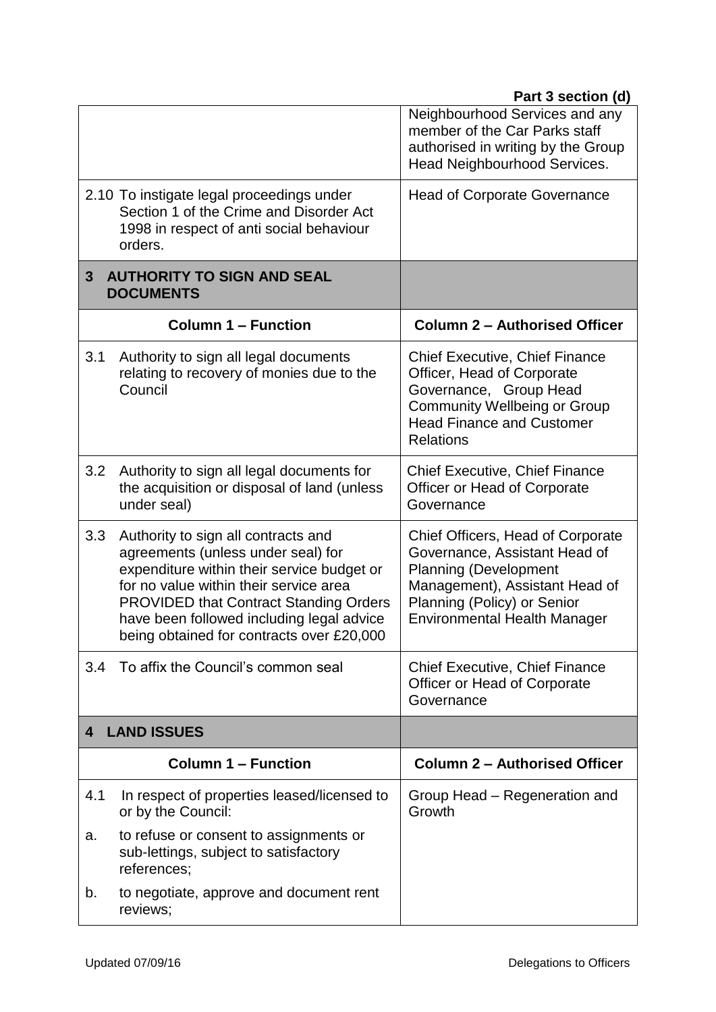|     |                                                                                                                                                                                                                                                                                                              | Neighbourhood Services and any<br>member of the Car Parks staff<br>authorised in writing by the Group<br>Head Neighbourhood Services.                                                                      |
|-----|--------------------------------------------------------------------------------------------------------------------------------------------------------------------------------------------------------------------------------------------------------------------------------------------------------------|------------------------------------------------------------------------------------------------------------------------------------------------------------------------------------------------------------|
|     | 2.10 To instigate legal proceedings under<br>Section 1 of the Crime and Disorder Act<br>1998 in respect of anti social behaviour<br>orders.                                                                                                                                                                  | <b>Head of Corporate Governance</b>                                                                                                                                                                        |
| 3   | <b>AUTHORITY TO SIGN AND SEAL</b><br><b>DOCUMENTS</b>                                                                                                                                                                                                                                                        |                                                                                                                                                                                                            |
|     | <b>Column 1 - Function</b>                                                                                                                                                                                                                                                                                   | <b>Column 2 - Authorised Officer</b>                                                                                                                                                                       |
| 3.1 | Authority to sign all legal documents<br>relating to recovery of monies due to the<br>Council                                                                                                                                                                                                                | <b>Chief Executive, Chief Finance</b><br>Officer, Head of Corporate<br>Governance, Group Head<br><b>Community Wellbeing or Group</b><br><b>Head Finance and Customer</b><br><b>Relations</b>               |
| 3.2 | Authority to sign all legal documents for<br>the acquisition or disposal of land (unless<br>under seal)                                                                                                                                                                                                      | <b>Chief Executive, Chief Finance</b><br>Officer or Head of Corporate<br>Governance                                                                                                                        |
| 3.3 | Authority to sign all contracts and<br>agreements (unless under seal) for<br>expenditure within their service budget or<br>for no value within their service area<br><b>PROVIDED that Contract Standing Orders</b><br>have been followed including legal advice<br>being obtained for contracts over £20,000 | Chief Officers, Head of Corporate<br>Governance, Assistant Head of<br><b>Planning (Development</b><br>Management), Assistant Head of<br>Planning (Policy) or Senior<br><b>Environmental Health Manager</b> |
| 3.4 | To affix the Council's common seal                                                                                                                                                                                                                                                                           | <b>Chief Executive, Chief Finance</b><br>Officer or Head of Corporate<br>Governance                                                                                                                        |
| 4   | <b>LAND ISSUES</b>                                                                                                                                                                                                                                                                                           |                                                                                                                                                                                                            |
|     | <b>Column 1 – Function</b>                                                                                                                                                                                                                                                                                   | <b>Column 2 - Authorised Officer</b>                                                                                                                                                                       |
| 4.1 | In respect of properties leased/licensed to<br>or by the Council:                                                                                                                                                                                                                                            | Group Head – Regeneration and<br>Growth                                                                                                                                                                    |
| a.  | to refuse or consent to assignments or<br>sub-lettings, subject to satisfactory<br>references;                                                                                                                                                                                                               |                                                                                                                                                                                                            |
| b.  | to negotiate, approve and document rent<br>reviews;                                                                                                                                                                                                                                                          |                                                                                                                                                                                                            |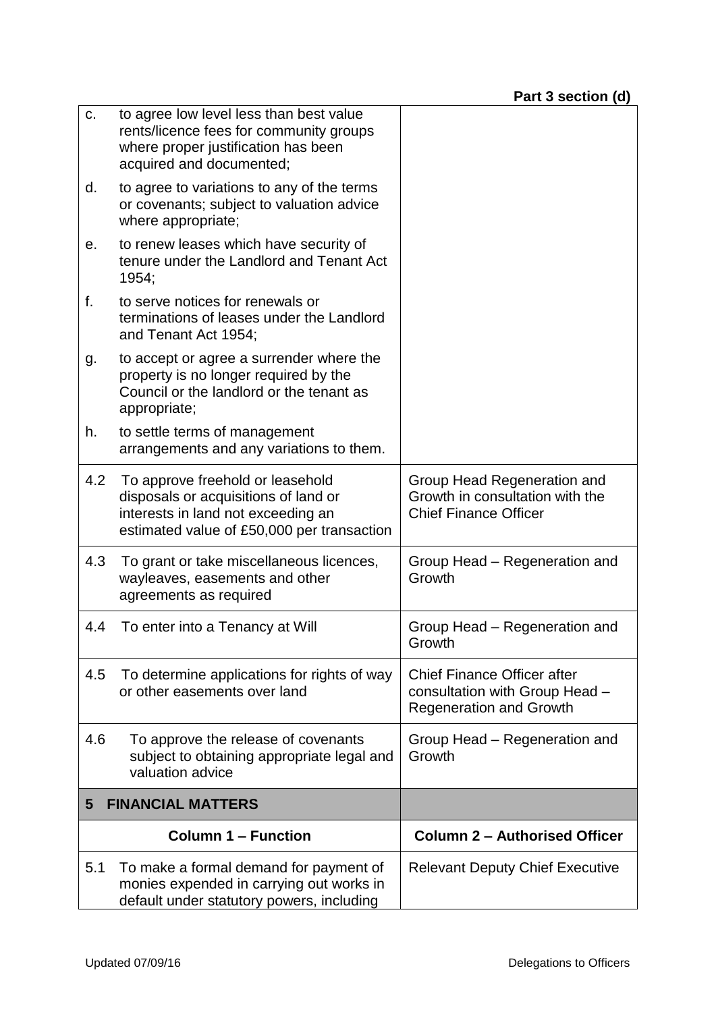| C.  | to agree low level less than best value<br>rents/licence fees for community groups<br>where proper justification has been<br>acquired and documented;        |                                                                                                        |
|-----|--------------------------------------------------------------------------------------------------------------------------------------------------------------|--------------------------------------------------------------------------------------------------------|
| d.  | to agree to variations to any of the terms<br>or covenants; subject to valuation advice<br>where appropriate;                                                |                                                                                                        |
| е.  | to renew leases which have security of<br>tenure under the Landlord and Tenant Act<br>1954;                                                                  |                                                                                                        |
| f.  | to serve notices for renewals or<br>terminations of leases under the Landlord<br>and Tenant Act 1954;                                                        |                                                                                                        |
| g.  | to accept or agree a surrender where the<br>property is no longer required by the<br>Council or the landlord or the tenant as<br>appropriate;                |                                                                                                        |
| h.  | to settle terms of management<br>arrangements and any variations to them.                                                                                    |                                                                                                        |
| 4.2 | To approve freehold or leasehold<br>disposals or acquisitions of land or<br>interests in land not exceeding an<br>estimated value of £50,000 per transaction | Group Head Regeneration and<br>Growth in consultation with the<br><b>Chief Finance Officer</b>         |
| 4.3 | To grant or take miscellaneous licences,<br>wayleaves, easements and other<br>agreements as required                                                         | Group Head – Regeneration and<br>Growth                                                                |
| 4.4 | To enter into a Tenancy at Will                                                                                                                              | Group Head – Regeneration and<br>Growth                                                                |
| 4.5 | To determine applications for rights of way<br>or other easements over land                                                                                  | <b>Chief Finance Officer after</b><br>consultation with Group Head -<br><b>Regeneration and Growth</b> |
| 4.6 | To approve the release of covenants<br>subject to obtaining appropriate legal and<br>valuation advice                                                        | Group Head - Regeneration and<br>Growth                                                                |
| 5   | <b>FINANCIAL MATTERS</b>                                                                                                                                     |                                                                                                        |
|     | <b>Column 1 – Function</b>                                                                                                                                   | <b>Column 2 - Authorised Officer</b>                                                                   |
| 5.1 | To make a formal demand for payment of<br>monies expended in carrying out works in<br>default under statutory powers, including                              | <b>Relevant Deputy Chief Executive</b>                                                                 |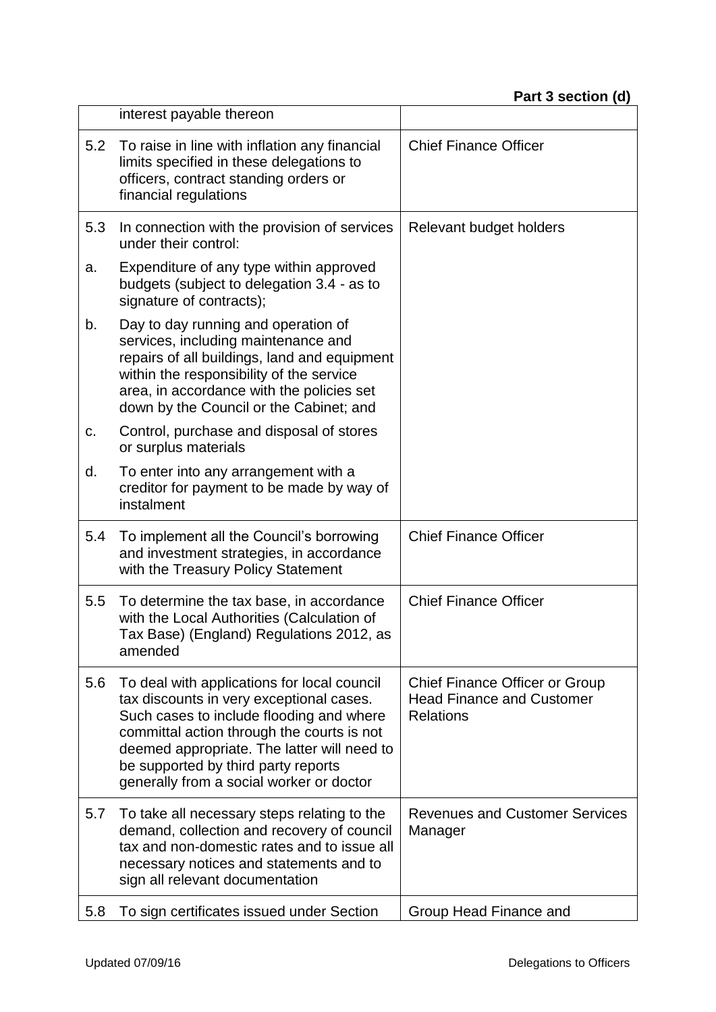|     | interest payable thereon                                                                                                                                                                                                                                                                                            |                                                                                        |
|-----|---------------------------------------------------------------------------------------------------------------------------------------------------------------------------------------------------------------------------------------------------------------------------------------------------------------------|----------------------------------------------------------------------------------------|
| 5.2 | To raise in line with inflation any financial<br>limits specified in these delegations to<br>officers, contract standing orders or<br>financial regulations                                                                                                                                                         | <b>Chief Finance Officer</b>                                                           |
| 5.3 | In connection with the provision of services<br>under their control:                                                                                                                                                                                                                                                | Relevant budget holders                                                                |
| a.  | Expenditure of any type within approved<br>budgets (subject to delegation 3.4 - as to<br>signature of contracts);                                                                                                                                                                                                   |                                                                                        |
| b.  | Day to day running and operation of<br>services, including maintenance and<br>repairs of all buildings, land and equipment<br>within the responsibility of the service<br>area, in accordance with the policies set<br>down by the Council or the Cabinet; and                                                      |                                                                                        |
| C.  | Control, purchase and disposal of stores<br>or surplus materials                                                                                                                                                                                                                                                    |                                                                                        |
| d.  | To enter into any arrangement with a<br>creditor for payment to be made by way of<br>instalment                                                                                                                                                                                                                     |                                                                                        |
| 5.4 | To implement all the Council's borrowing<br>and investment strategies, in accordance<br>with the Treasury Policy Statement                                                                                                                                                                                          | <b>Chief Finance Officer</b>                                                           |
| 5.5 | To determine the tax base, in accordance<br>with the Local Authorities (Calculation of<br>Tax Base) (England) Regulations 2012, as<br>amended                                                                                                                                                                       | <b>Chief Finance Officer</b>                                                           |
| 5.6 | To deal with applications for local council<br>tax discounts in very exceptional cases.<br>Such cases to include flooding and where<br>committal action through the courts is not<br>deemed appropriate. The latter will need to<br>be supported by third party reports<br>generally from a social worker or doctor | Chief Finance Officer or Group<br><b>Head Finance and Customer</b><br><b>Relations</b> |
| 5.7 | To take all necessary steps relating to the<br>demand, collection and recovery of council<br>tax and non-domestic rates and to issue all<br>necessary notices and statements and to<br>sign all relevant documentation                                                                                              | <b>Revenues and Customer Services</b><br>Manager                                       |
| 5.8 | To sign certificates issued under Section                                                                                                                                                                                                                                                                           | Group Head Finance and                                                                 |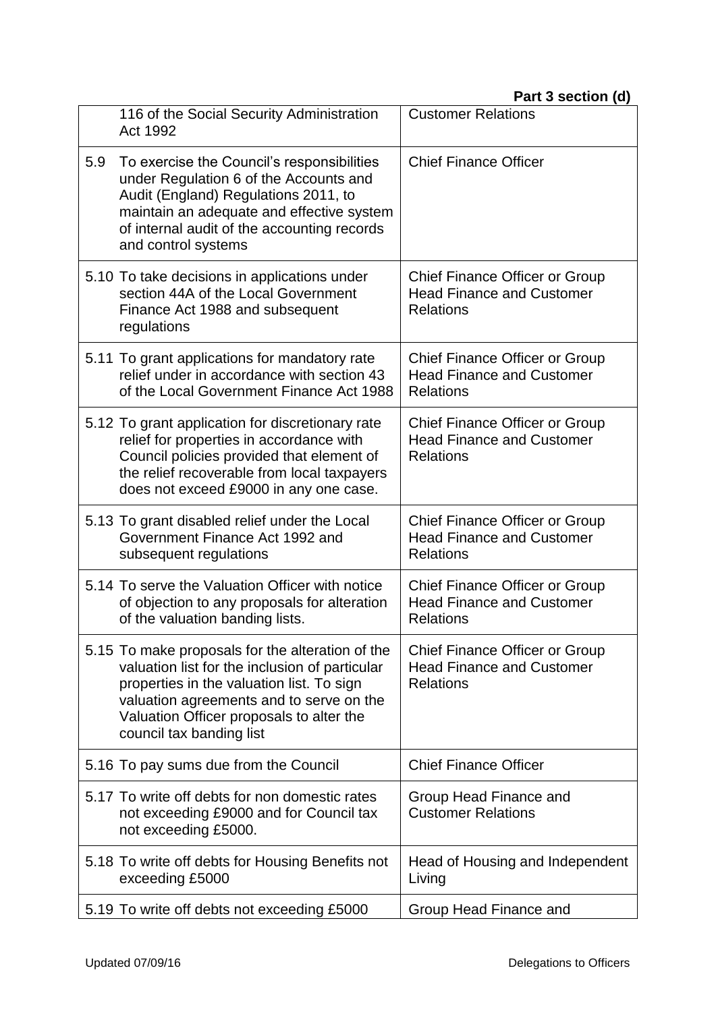|     | 116 of the Social Security Administration<br>Act 1992                                                                                                                                                                                                               | <b>Customer Relations</b>                                                                     |
|-----|---------------------------------------------------------------------------------------------------------------------------------------------------------------------------------------------------------------------------------------------------------------------|-----------------------------------------------------------------------------------------------|
| 5.9 | To exercise the Council's responsibilities<br>under Regulation 6 of the Accounts and<br>Audit (England) Regulations 2011, to<br>maintain an adequate and effective system<br>of internal audit of the accounting records<br>and control systems                     | <b>Chief Finance Officer</b>                                                                  |
|     | 5.10 To take decisions in applications under<br>section 44A of the Local Government<br>Finance Act 1988 and subsequent<br>regulations                                                                                                                               | <b>Chief Finance Officer or Group</b><br><b>Head Finance and Customer</b><br><b>Relations</b> |
|     | 5.11 To grant applications for mandatory rate<br>relief under in accordance with section 43<br>of the Local Government Finance Act 1988                                                                                                                             | <b>Chief Finance Officer or Group</b><br><b>Head Finance and Customer</b><br><b>Relations</b> |
|     | 5.12 To grant application for discretionary rate<br>relief for properties in accordance with<br>Council policies provided that element of<br>the relief recoverable from local taxpayers<br>does not exceed £9000 in any one case.                                  | Chief Finance Officer or Group<br><b>Head Finance and Customer</b><br><b>Relations</b>        |
|     | 5.13 To grant disabled relief under the Local<br>Government Finance Act 1992 and<br>subsequent regulations                                                                                                                                                          | <b>Chief Finance Officer or Group</b><br><b>Head Finance and Customer</b><br><b>Relations</b> |
|     | 5.14 To serve the Valuation Officer with notice<br>of objection to any proposals for alteration<br>of the valuation banding lists.                                                                                                                                  | <b>Chief Finance Officer or Group</b><br><b>Head Finance and Customer</b><br><b>Relations</b> |
|     | 5.15 To make proposals for the alteration of the<br>valuation list for the inclusion of particular<br>properties in the valuation list. To sign<br>valuation agreements and to serve on the<br>Valuation Officer proposals to alter the<br>council tax banding list | <b>Chief Finance Officer or Group</b><br><b>Head Finance and Customer</b><br><b>Relations</b> |
|     | 5.16 To pay sums due from the Council                                                                                                                                                                                                                               | <b>Chief Finance Officer</b>                                                                  |
|     | 5.17 To write off debts for non domestic rates<br>not exceeding £9000 and for Council tax<br>not exceeding £5000.                                                                                                                                                   | Group Head Finance and<br><b>Customer Relations</b>                                           |
|     | 5.18 To write off debts for Housing Benefits not<br>exceeding £5000                                                                                                                                                                                                 | Head of Housing and Independent<br>Living                                                     |
|     | 5.19 To write off debts not exceeding £5000                                                                                                                                                                                                                         | Group Head Finance and                                                                        |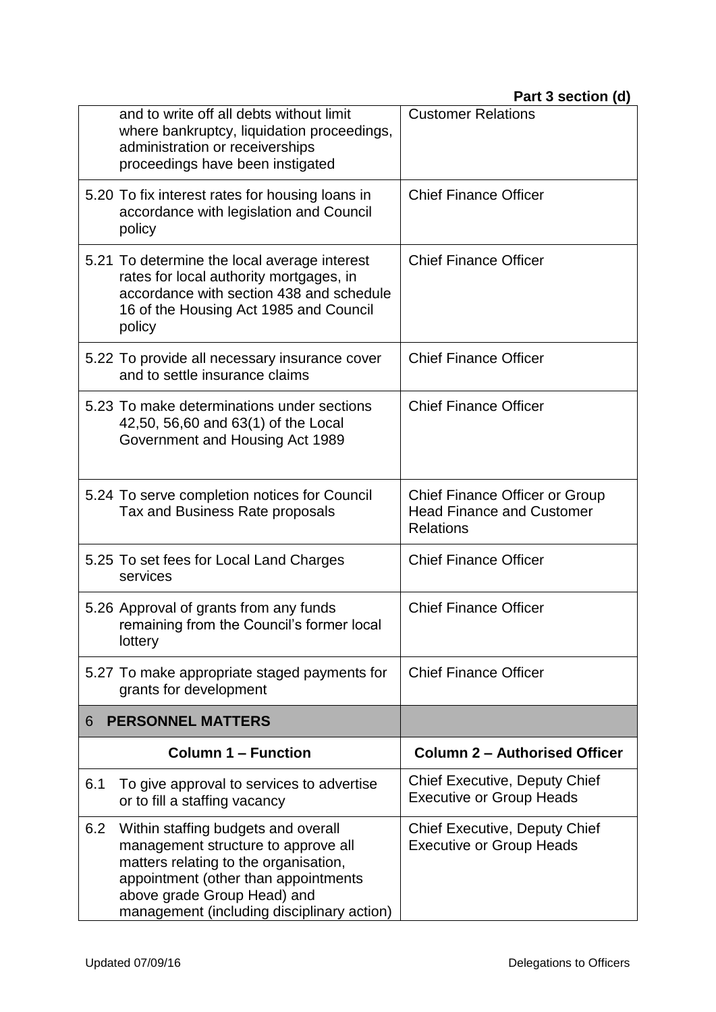|     | and to write off all debts without limit<br>where bankruptcy, liquidation proceedings,<br>administration or receiverships<br>proceedings have been instigated                                                                            | <b>Customer Relations</b>                                                                     |
|-----|------------------------------------------------------------------------------------------------------------------------------------------------------------------------------------------------------------------------------------------|-----------------------------------------------------------------------------------------------|
|     | 5.20 To fix interest rates for housing loans in<br>accordance with legislation and Council<br>policy                                                                                                                                     | <b>Chief Finance Officer</b>                                                                  |
|     | 5.21 To determine the local average interest<br>rates for local authority mortgages, in<br>accordance with section 438 and schedule<br>16 of the Housing Act 1985 and Council<br>policy                                                  | <b>Chief Finance Officer</b>                                                                  |
|     | 5.22 To provide all necessary insurance cover<br>and to settle insurance claims                                                                                                                                                          | <b>Chief Finance Officer</b>                                                                  |
|     | 5.23 To make determinations under sections<br>42,50, 56,60 and 63(1) of the Local<br>Government and Housing Act 1989                                                                                                                     | <b>Chief Finance Officer</b>                                                                  |
|     | 5.24 To serve completion notices for Council<br>Tax and Business Rate proposals                                                                                                                                                          | <b>Chief Finance Officer or Group</b><br><b>Head Finance and Customer</b><br><b>Relations</b> |
|     | 5.25 To set fees for Local Land Charges<br>services                                                                                                                                                                                      | <b>Chief Finance Officer</b>                                                                  |
|     | 5.26 Approval of grants from any funds<br>remaining from the Council's former local<br>lottery                                                                                                                                           | <b>Chief Finance Officer</b>                                                                  |
|     | 5.27 To make appropriate staged payments for<br>grants for development                                                                                                                                                                   | <b>Chief Finance Officer</b>                                                                  |
| 6   | <b>PERSONNEL MATTERS</b>                                                                                                                                                                                                                 |                                                                                               |
|     | <b>Column 1 - Function</b>                                                                                                                                                                                                               | <b>Column 2 - Authorised Officer</b>                                                          |
| 6.1 | To give approval to services to advertise<br>or to fill a staffing vacancy                                                                                                                                                               | <b>Chief Executive, Deputy Chief</b><br><b>Executive or Group Heads</b>                       |
| 6.2 | Within staffing budgets and overall<br>management structure to approve all<br>matters relating to the organisation,<br>appointment (other than appointments<br>above grade Group Head) and<br>management (including disciplinary action) | <b>Chief Executive, Deputy Chief</b><br><b>Executive or Group Heads</b>                       |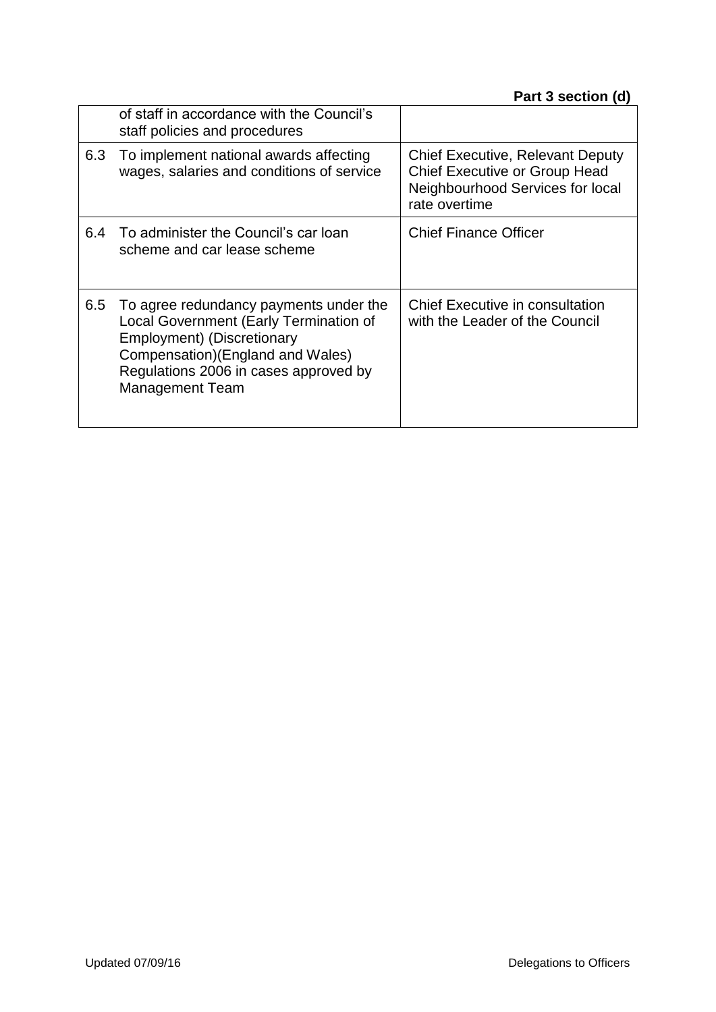|     | of staff in accordance with the Council's<br>staff policies and procedures                                                                                                                                             |                                                                                                                                      |
|-----|------------------------------------------------------------------------------------------------------------------------------------------------------------------------------------------------------------------------|--------------------------------------------------------------------------------------------------------------------------------------|
| 6.3 | To implement national awards affecting<br>wages, salaries and conditions of service                                                                                                                                    | <b>Chief Executive, Relevant Deputy</b><br><b>Chief Executive or Group Head</b><br>Neighbourhood Services for local<br>rate overtime |
| 6.4 | To administer the Council's car loan<br>scheme and car lease scheme                                                                                                                                                    | <b>Chief Finance Officer</b>                                                                                                         |
| 6.5 | To agree redundancy payments under the<br>Local Government (Early Termination of<br>Employment) (Discretionary<br>Compensation) (England and Wales)<br>Regulations 2006 in cases approved by<br><b>Management Team</b> | <b>Chief Executive in consultation</b><br>with the Leader of the Council                                                             |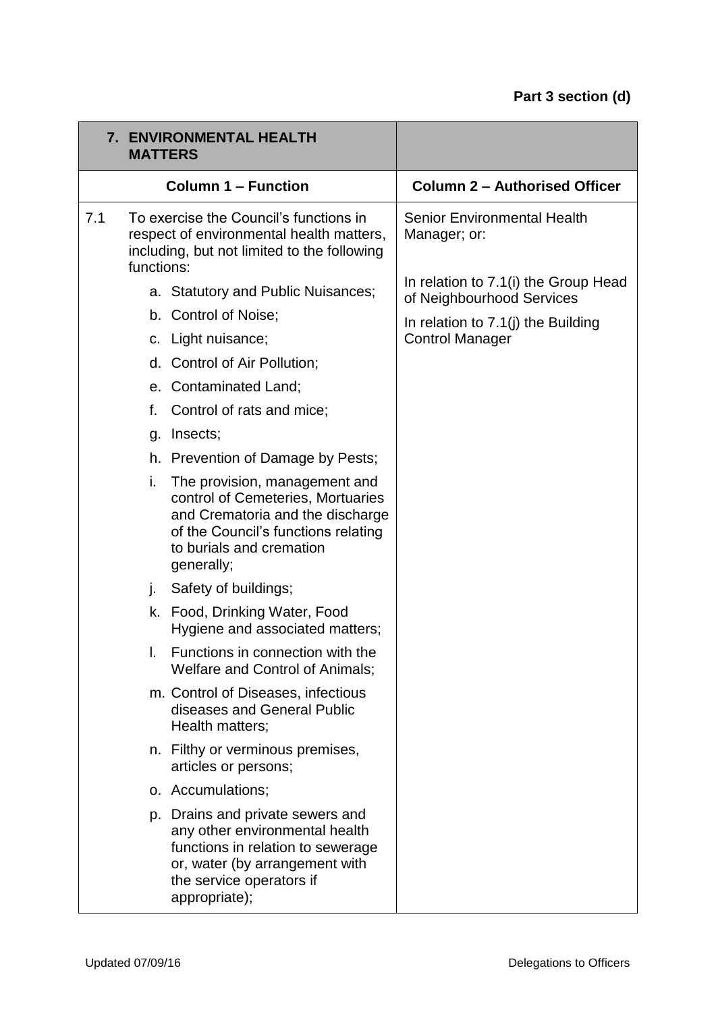| <b>7. ENVIRONMENTAL HEALTH</b><br><b>MATTERS</b> |            |                                                                                                                                                                                         |                                                                   |
|--------------------------------------------------|------------|-----------------------------------------------------------------------------------------------------------------------------------------------------------------------------------------|-------------------------------------------------------------------|
|                                                  |            | <b>Column 1 - Function</b>                                                                                                                                                              | <b>Column 2 - Authorised Officer</b>                              |
| 7.1                                              | functions: | To exercise the Council's functions in<br>respect of environmental health matters,<br>including, but not limited to the following                                                       | <b>Senior Environmental Health</b><br>Manager; or:                |
|                                                  |            | a. Statutory and Public Nuisances;                                                                                                                                                      | In relation to 7.1(i) the Group Head<br>of Neighbourhood Services |
|                                                  |            | b. Control of Noise;                                                                                                                                                                    | In relation to $7.1$ (j) the Building                             |
|                                                  |            | c. Light nuisance;                                                                                                                                                                      | <b>Control Manager</b>                                            |
|                                                  | d.         | Control of Air Pollution;                                                                                                                                                               |                                                                   |
|                                                  | e.         | <b>Contaminated Land;</b>                                                                                                                                                               |                                                                   |
|                                                  | f.         | Control of rats and mice;                                                                                                                                                               |                                                                   |
|                                                  | g.         | Insects;                                                                                                                                                                                |                                                                   |
|                                                  |            | h. Prevention of Damage by Pests;                                                                                                                                                       |                                                                   |
|                                                  | i.         | The provision, management and<br>control of Cemeteries, Mortuaries<br>and Crematoria and the discharge<br>of the Council's functions relating<br>to burials and cremation<br>generally; |                                                                   |
|                                                  | j.         | Safety of buildings;                                                                                                                                                                    |                                                                   |
|                                                  |            | k. Food, Drinking Water, Food<br>Hygiene and associated matters;                                                                                                                        |                                                                   |
|                                                  | L.         | Functions in connection with the<br>Welfare and Control of Animals;                                                                                                                     |                                                                   |
|                                                  |            | m. Control of Diseases, infectious<br>diseases and General Public<br>Health matters;                                                                                                    |                                                                   |
|                                                  |            | n. Filthy or verminous premises,<br>articles or persons;                                                                                                                                |                                                                   |
|                                                  |            | o. Accumulations;                                                                                                                                                                       |                                                                   |
|                                                  | p.         | Drains and private sewers and<br>any other environmental health<br>functions in relation to sewerage<br>or, water (by arrangement with<br>the service operators if<br>appropriate);     |                                                                   |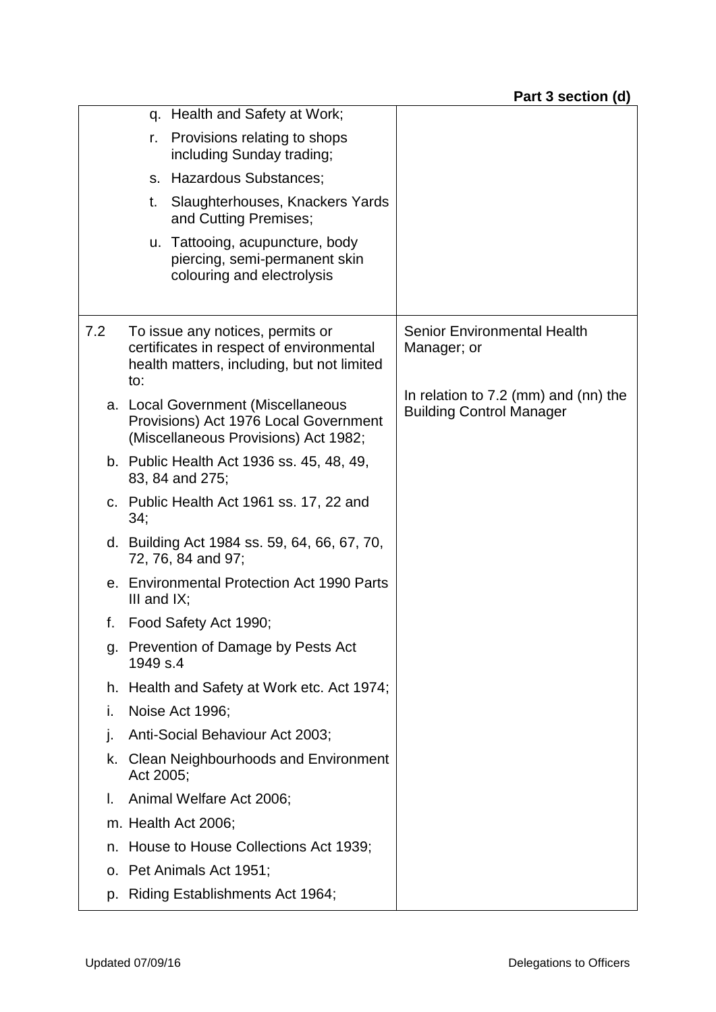|     | q. Health and Safety at Work;                                                                                                     |                                                                           |
|-----|-----------------------------------------------------------------------------------------------------------------------------------|---------------------------------------------------------------------------|
|     | Provisions relating to shops<br>r.<br>including Sunday trading;                                                                   |                                                                           |
|     | <b>Hazardous Substances:</b><br>S.                                                                                                |                                                                           |
|     | Slaughterhouses, Knackers Yards<br>t.<br>and Cutting Premises;                                                                    |                                                                           |
|     | u. Tattooing, acupuncture, body<br>piercing, semi-permanent skin<br>colouring and electrolysis                                    |                                                                           |
| 7.2 | To issue any notices, permits or<br>certificates in respect of environmental<br>health matters, including, but not limited<br>to: | Senior Environmental Health<br>Manager; or                                |
|     | a. Local Government (Miscellaneous<br>Provisions) Act 1976 Local Government<br>(Miscellaneous Provisions) Act 1982;               | In relation to $7.2$ (mm) and (nn) the<br><b>Building Control Manager</b> |
|     | b. Public Health Act 1936 ss. 45, 48, 49,<br>83, 84 and 275;                                                                      |                                                                           |
|     | c. Public Health Act 1961 ss. 17, 22 and<br>34;                                                                                   |                                                                           |
|     | d. Building Act 1984 ss. 59, 64, 66, 67, 70,<br>72, 76, 84 and 97;                                                                |                                                                           |
|     | e. Environmental Protection Act 1990 Parts<br>III and $IX$ ;                                                                      |                                                                           |
| f.  | Food Safety Act 1990;                                                                                                             |                                                                           |
| g.  | Prevention of Damage by Pests Act<br>1949 s.4                                                                                     |                                                                           |
| h.  | Health and Safety at Work etc. Act 1974;                                                                                          |                                                                           |
| i.  | Noise Act 1996;                                                                                                                   |                                                                           |
| j.  | Anti-Social Behaviour Act 2003;                                                                                                   |                                                                           |
| k.  | Clean Neighbourhoods and Environment<br>Act 2005;                                                                                 |                                                                           |
| I.  | Animal Welfare Act 2006;                                                                                                          |                                                                           |
|     | m. Health Act 2006;                                                                                                               |                                                                           |
| n.  | House to House Collections Act 1939;                                                                                              |                                                                           |
| 0.  | Pet Animals Act 1951;                                                                                                             |                                                                           |
| p.  | Riding Establishments Act 1964;                                                                                                   |                                                                           |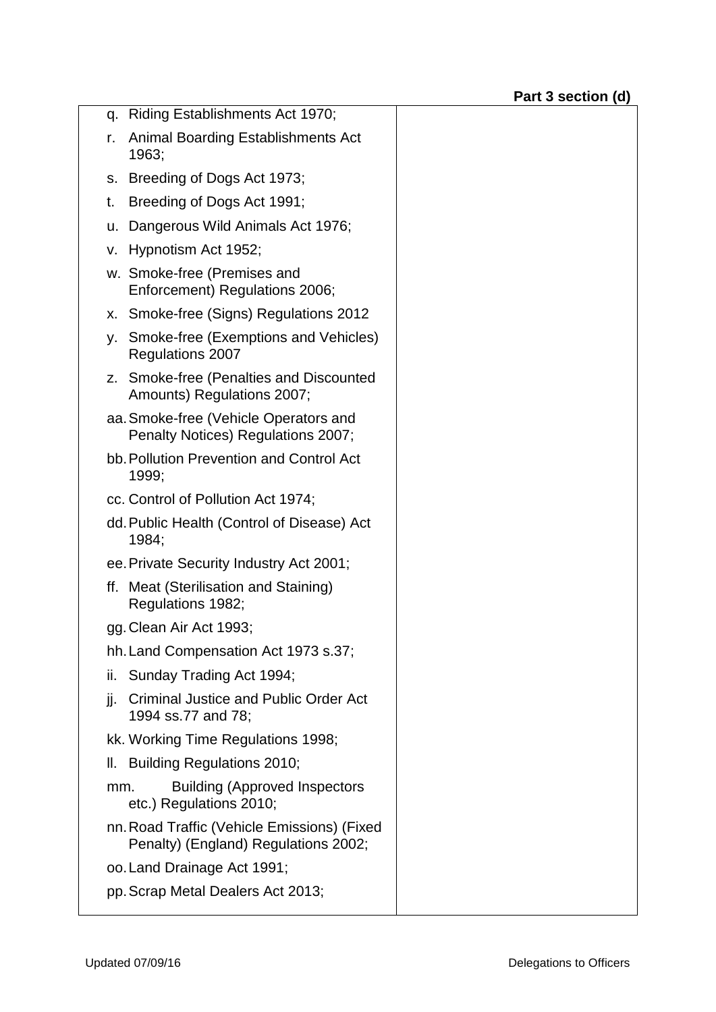| q. Riding Establishments Act 1970;                                                  |  |
|-------------------------------------------------------------------------------------|--|
| <b>Animal Boarding Establishments Act</b><br>r.<br>1963;                            |  |
| s. Breeding of Dogs Act 1973;                                                       |  |
| Breeding of Dogs Act 1991;<br>t.                                                    |  |
| Dangerous Wild Animals Act 1976;<br>u.                                              |  |
| v. Hypnotism Act 1952;                                                              |  |
| w. Smoke-free (Premises and<br>Enforcement) Regulations 2006;                       |  |
| x. Smoke-free (Signs) Regulations 2012                                              |  |
| y. Smoke-free (Exemptions and Vehicles)<br><b>Regulations 2007</b>                  |  |
| z. Smoke-free (Penalties and Discounted<br>Amounts) Regulations 2007;               |  |
| aa. Smoke-free (Vehicle Operators and<br>Penalty Notices) Regulations 2007;         |  |
| bb. Pollution Prevention and Control Act<br>1999;                                   |  |
| cc. Control of Pollution Act 1974;                                                  |  |
| dd. Public Health (Control of Disease) Act<br>1984;                                 |  |
| ee. Private Security Industry Act 2001;                                             |  |
| ff. Meat (Sterilisation and Staining)<br>Regulations 1982;                          |  |
| gg. Clean Air Act 1993;                                                             |  |
| hh. Land Compensation Act 1973 s.37;                                                |  |
| Sunday Trading Act 1994;<br>ii.                                                     |  |
| <b>Criminal Justice and Public Order Act</b><br>jj.<br>1994 ss.77 and 78;           |  |
| kk. Working Time Regulations 1998;                                                  |  |
| II. Building Regulations 2010;                                                      |  |
| <b>Building (Approved Inspectors</b><br>mm.<br>etc.) Regulations 2010;              |  |
| nn. Road Traffic (Vehicle Emissions) (Fixed<br>Penalty) (England) Regulations 2002; |  |
| oo. Land Drainage Act 1991;                                                         |  |
| pp. Scrap Metal Dealers Act 2013;                                                   |  |
|                                                                                     |  |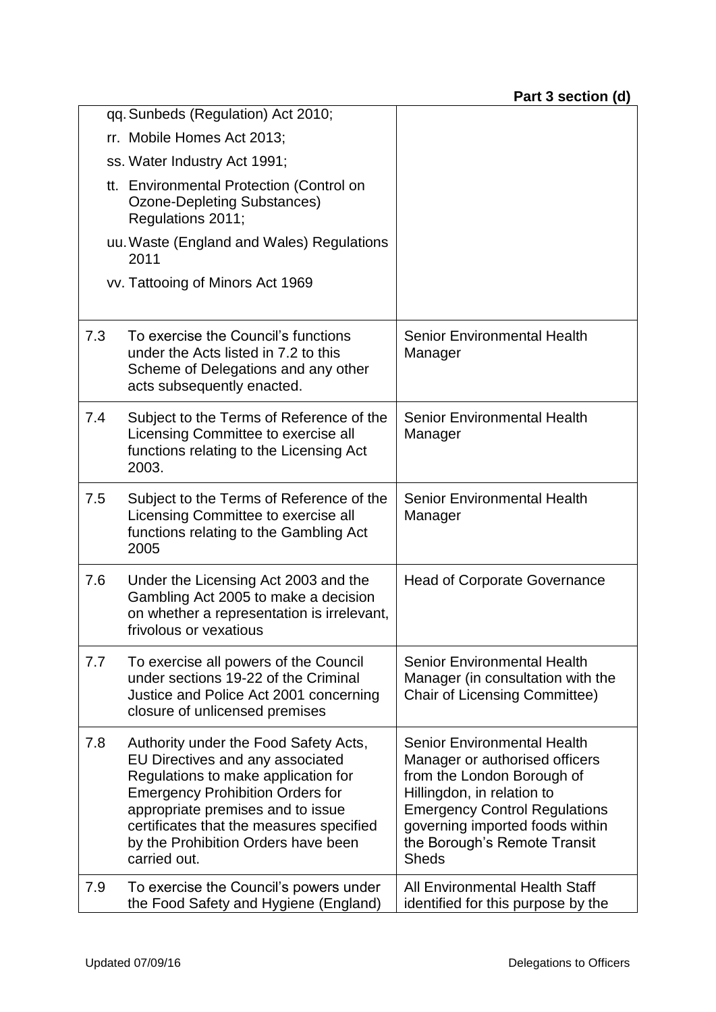|     | qq. Sunbeds (Regulation) Act 2010;                                                                                                                                                                                                                                                                  |                                                                                                                                                                                                                                                             |
|-----|-----------------------------------------------------------------------------------------------------------------------------------------------------------------------------------------------------------------------------------------------------------------------------------------------------|-------------------------------------------------------------------------------------------------------------------------------------------------------------------------------------------------------------------------------------------------------------|
|     | rr. Mobile Homes Act 2013;                                                                                                                                                                                                                                                                          |                                                                                                                                                                                                                                                             |
|     | ss. Water Industry Act 1991;                                                                                                                                                                                                                                                                        |                                                                                                                                                                                                                                                             |
|     | tt. Environmental Protection (Control on<br>Ozone-Depleting Substances)<br>Regulations 2011;                                                                                                                                                                                                        |                                                                                                                                                                                                                                                             |
|     | uu. Waste (England and Wales) Regulations<br>2011                                                                                                                                                                                                                                                   |                                                                                                                                                                                                                                                             |
|     | vv. Tattooing of Minors Act 1969                                                                                                                                                                                                                                                                    |                                                                                                                                                                                                                                                             |
| 7.3 | To exercise the Council's functions<br>under the Acts listed in 7.2 to this<br>Scheme of Delegations and any other<br>acts subsequently enacted.                                                                                                                                                    | <b>Senior Environmental Health</b><br>Manager                                                                                                                                                                                                               |
| 7.4 | Subject to the Terms of Reference of the<br>Licensing Committee to exercise all<br>functions relating to the Licensing Act<br>2003.                                                                                                                                                                 | Senior Environmental Health<br>Manager                                                                                                                                                                                                                      |
| 7.5 | Subject to the Terms of Reference of the<br>Licensing Committee to exercise all<br>functions relating to the Gambling Act<br>2005                                                                                                                                                                   | <b>Senior Environmental Health</b><br>Manager                                                                                                                                                                                                               |
| 7.6 | Under the Licensing Act 2003 and the<br>Gambling Act 2005 to make a decision<br>on whether a representation is irrelevant,<br>frivolous or vexatious                                                                                                                                                | <b>Head of Corporate Governance</b>                                                                                                                                                                                                                         |
| 7.7 | To exercise all powers of the Council<br>under sections 19-22 of the Criminal<br>Justice and Police Act 2001 concerning<br>closure of unlicensed premises                                                                                                                                           | <b>Senior Environmental Health</b><br>Manager (in consultation with the<br><b>Chair of Licensing Committee)</b>                                                                                                                                             |
| 7.8 | Authority under the Food Safety Acts,<br>EU Directives and any associated<br>Regulations to make application for<br><b>Emergency Prohibition Orders for</b><br>appropriate premises and to issue<br>certificates that the measures specified<br>by the Prohibition Orders have been<br>carried out. | <b>Senior Environmental Health</b><br>Manager or authorised officers<br>from the London Borough of<br>Hillingdon, in relation to<br><b>Emergency Control Regulations</b><br>governing imported foods within<br>the Borough's Remote Transit<br><b>Sheds</b> |
| 7.9 | To exercise the Council's powers under<br>the Food Safety and Hygiene (England)                                                                                                                                                                                                                     | All Environmental Health Staff<br>identified for this purpose by the                                                                                                                                                                                        |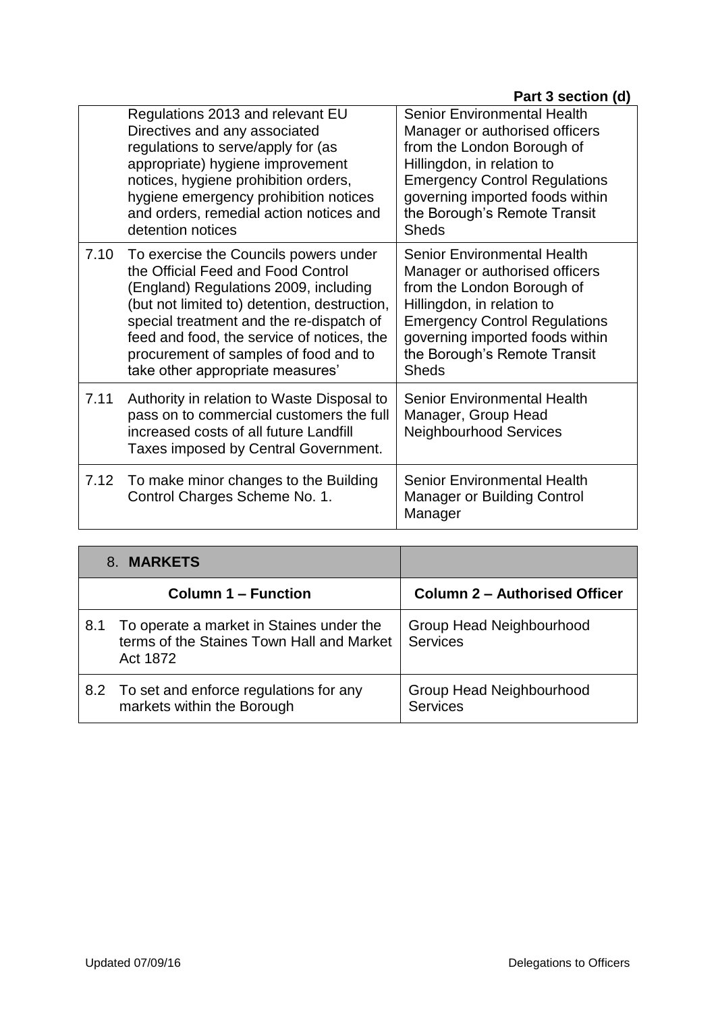|      | Regulations 2013 and relevant EU<br>Directives and any associated<br>regulations to serve/apply for (as<br>appropriate) hygiene improvement<br>notices, hygiene prohibition orders,<br>hygiene emergency prohibition notices<br>and orders, remedial action notices and<br>detention notices                                                | Senior Environmental Health<br>Manager or authorised officers<br>from the London Borough of<br>Hillingdon, in relation to<br><b>Emergency Control Regulations</b><br>governing imported foods within<br>the Borough's Remote Transit<br><b>Sheds</b> |
|------|---------------------------------------------------------------------------------------------------------------------------------------------------------------------------------------------------------------------------------------------------------------------------------------------------------------------------------------------|------------------------------------------------------------------------------------------------------------------------------------------------------------------------------------------------------------------------------------------------------|
| 7.10 | To exercise the Councils powers under<br>the Official Feed and Food Control<br>(England) Regulations 2009, including<br>(but not limited to) detention, destruction,<br>special treatment and the re-dispatch of<br>feed and food, the service of notices, the<br>procurement of samples of food and to<br>take other appropriate measures' | Senior Environmental Health<br>Manager or authorised officers<br>from the London Borough of<br>Hillingdon, in relation to<br><b>Emergency Control Regulations</b><br>governing imported foods within<br>the Borough's Remote Transit<br><b>Sheds</b> |
| 7.11 | Authority in relation to Waste Disposal to<br>pass on to commercial customers the full<br>increased costs of all future Landfill<br>Taxes imposed by Central Government.                                                                                                                                                                    | Senior Environmental Health<br>Manager, Group Head<br><b>Neighbourhood Services</b>                                                                                                                                                                  |
| 7.12 | To make minor changes to the Building<br>Control Charges Scheme No. 1.                                                                                                                                                                                                                                                                      | <b>Senior Environmental Health</b><br><b>Manager or Building Control</b><br>Manager                                                                                                                                                                  |

| 8. MARKETS |                                                                                                   |                                             |
|------------|---------------------------------------------------------------------------------------------------|---------------------------------------------|
|            | <b>Column 1 – Function</b>                                                                        | <b>Column 2 - Authorised Officer</b>        |
| 8.1        | To operate a market in Staines under the<br>terms of the Staines Town Hall and Market<br>Act 1872 | Group Head Neighbourhood<br><b>Services</b> |
|            | 8.2 To set and enforce regulations for any<br>markets within the Borough                          | Group Head Neighbourhood<br><b>Services</b> |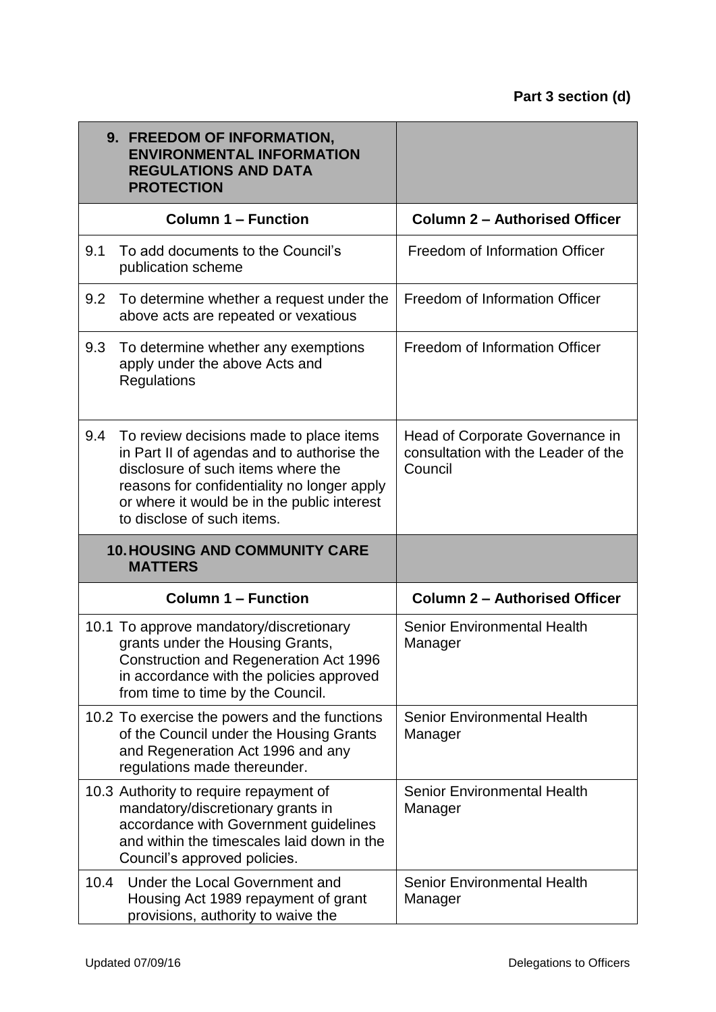|      | 9. FREEDOM OF INFORMATION,<br><b>ENVIRONMENTAL INFORMATION</b><br><b>REGULATIONS AND DATA</b><br><b>PROTECTION</b>                                                                                                                                      |                                                                                   |
|------|---------------------------------------------------------------------------------------------------------------------------------------------------------------------------------------------------------------------------------------------------------|-----------------------------------------------------------------------------------|
|      | <b>Column 1 - Function</b>                                                                                                                                                                                                                              | <b>Column 2 - Authorised Officer</b>                                              |
| 9.1  | To add documents to the Council's<br>publication scheme                                                                                                                                                                                                 | Freedom of Information Officer                                                    |
| 9.2  | To determine whether a request under the<br>above acts are repeated or vexatious                                                                                                                                                                        | Freedom of Information Officer                                                    |
| 9.3  | To determine whether any exemptions<br>apply under the above Acts and<br>Regulations                                                                                                                                                                    | Freedom of Information Officer                                                    |
| 9.4  | To review decisions made to place items<br>in Part II of agendas and to authorise the<br>disclosure of such items where the<br>reasons for confidentiality no longer apply<br>or where it would be in the public interest<br>to disclose of such items. | Head of Corporate Governance in<br>consultation with the Leader of the<br>Council |
|      | <b>10. HOUSING AND COMMUNITY CARE</b><br><b>MATTERS</b>                                                                                                                                                                                                 |                                                                                   |
|      | <b>Column 1 - Function</b>                                                                                                                                                                                                                              | <b>Column 2 - Authorised Officer</b>                                              |
|      | 10.1 To approve mandatory/discretionary<br>grants under the Housing Grants,<br>Construction and Regeneration Act 1996<br>in accordance with the policies approved<br>from time to time by the Council.                                                  | <b>Senior Environmental Health</b><br>Manager                                     |
|      | 10.2 To exercise the powers and the functions<br>of the Council under the Housing Grants<br>and Regeneration Act 1996 and any<br>regulations made thereunder.                                                                                           | <b>Senior Environmental Health</b><br>Manager                                     |
|      | 10.3 Authority to require repayment of<br>mandatory/discretionary grants in<br>accordance with Government guidelines<br>and within the timescales laid down in the<br>Council's approved policies.                                                      | Senior Environmental Health<br>Manager                                            |
| 10.4 | Under the Local Government and<br>Housing Act 1989 repayment of grant<br>provisions, authority to waive the                                                                                                                                             | <b>Senior Environmental Health</b><br>Manager                                     |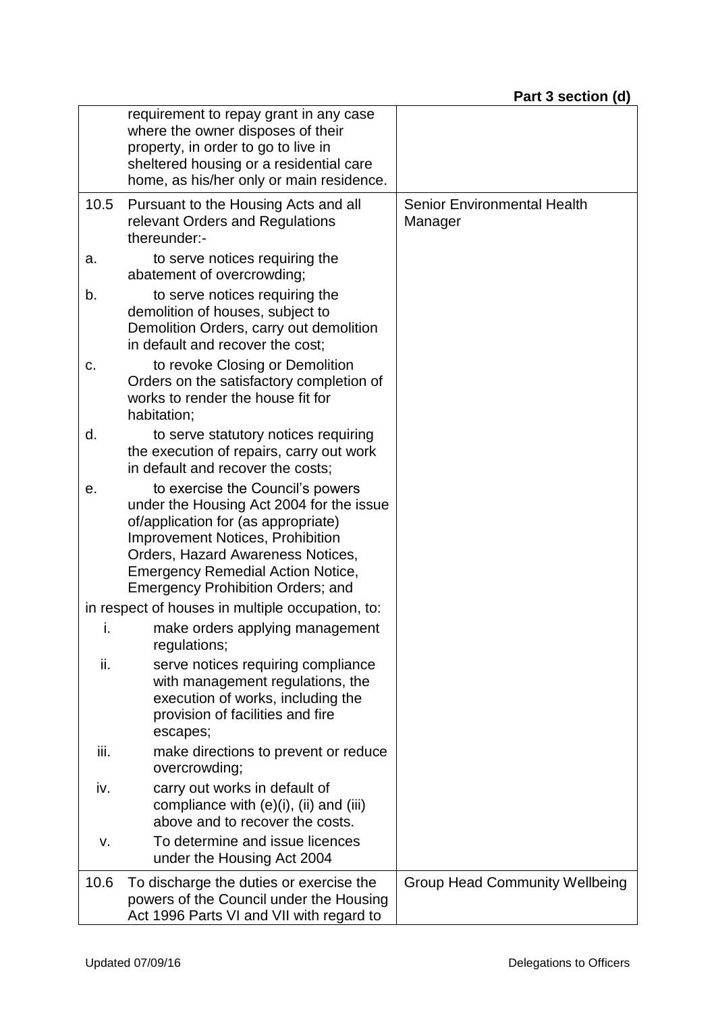|      | requirement to repay grant in any case<br>where the owner disposes of their<br>property, in order to go to live in<br>sheltered housing or a residential care<br>home, as his/her only or main residence.                                                                                   |                                               |
|------|---------------------------------------------------------------------------------------------------------------------------------------------------------------------------------------------------------------------------------------------------------------------------------------------|-----------------------------------------------|
| 10.5 | Pursuant to the Housing Acts and all<br>relevant Orders and Regulations<br>thereunder:-                                                                                                                                                                                                     | <b>Senior Environmental Health</b><br>Manager |
| a.   | to serve notices requiring the<br>abatement of overcrowding;                                                                                                                                                                                                                                |                                               |
| b.   | to serve notices requiring the<br>demolition of houses, subject to<br>Demolition Orders, carry out demolition<br>in default and recover the cost;                                                                                                                                           |                                               |
| c.   | to revoke Closing or Demolition<br>Orders on the satisfactory completion of<br>works to render the house fit for<br>habitation;                                                                                                                                                             |                                               |
| d.   | to serve statutory notices requiring<br>the execution of repairs, carry out work<br>in default and recover the costs;                                                                                                                                                                       |                                               |
| е.   | to exercise the Council's powers<br>under the Housing Act 2004 for the issue<br>of/application for (as appropriate)<br><b>Improvement Notices, Prohibition</b><br>Orders, Hazard Awareness Notices,<br><b>Emergency Remedial Action Notice,</b><br><b>Emergency Prohibition Orders; and</b> |                                               |
|      | in respect of houses in multiple occupation, to:                                                                                                                                                                                                                                            |                                               |
| i.   | make orders applying management<br>regulations;                                                                                                                                                                                                                                             |                                               |
| ii.  | serve notices requiring compliance<br>with management regulations, the<br>execution of works, including the<br>provision of facilities and fire<br>escapes;                                                                                                                                 |                                               |
| iii. | make directions to prevent or reduce<br>overcrowding;                                                                                                                                                                                                                                       |                                               |
| iv.  | carry out works in default of<br>compliance with $(e)(i)$ , $(ii)$ and $(iii)$<br>above and to recover the costs.                                                                                                                                                                           |                                               |
| v.   | To determine and issue licences<br>under the Housing Act 2004                                                                                                                                                                                                                               |                                               |
| 10.6 | To discharge the duties or exercise the<br>powers of the Council under the Housing<br>Act 1996 Parts VI and VII with regard to                                                                                                                                                              | <b>Group Head Community Wellbeing</b>         |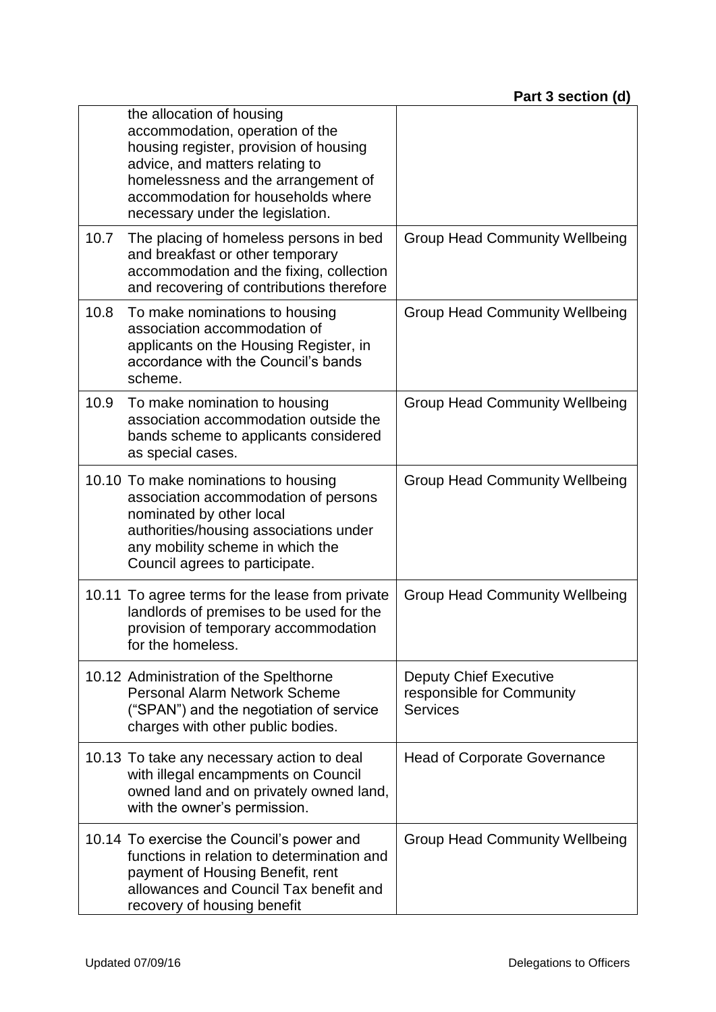|      | the allocation of housing<br>accommodation, operation of the<br>housing register, provision of housing<br>advice, and matters relating to<br>homelessness and the arrangement of<br>accommodation for households where<br>necessary under the legislation. |                                                                               |
|------|------------------------------------------------------------------------------------------------------------------------------------------------------------------------------------------------------------------------------------------------------------|-------------------------------------------------------------------------------|
| 10.7 | The placing of homeless persons in bed<br>and breakfast or other temporary<br>accommodation and the fixing, collection<br>and recovering of contributions therefore                                                                                        | <b>Group Head Community Wellbeing</b>                                         |
| 10.8 | To make nominations to housing<br>association accommodation of<br>applicants on the Housing Register, in<br>accordance with the Council's bands<br>scheme.                                                                                                 | <b>Group Head Community Wellbeing</b>                                         |
| 10.9 | To make nomination to housing<br>association accommodation outside the<br>bands scheme to applicants considered<br>as special cases.                                                                                                                       | <b>Group Head Community Wellbeing</b>                                         |
|      | 10.10 To make nominations to housing<br>association accommodation of persons<br>nominated by other local<br>authorities/housing associations under<br>any mobility scheme in which the<br>Council agrees to participate.                                   | <b>Group Head Community Wellbeing</b>                                         |
|      | 10.11 To agree terms for the lease from private<br>landlords of premises to be used for the<br>provision of temporary accommodation<br>for the homeless                                                                                                    | <b>Group Head Community Wellbeing</b>                                         |
|      | 10.12 Administration of the Spelthorne<br>Personal Alarm Network Scheme<br>("SPAN") and the negotiation of service<br>charges with other public bodies.                                                                                                    | <b>Deputy Chief Executive</b><br>responsible for Community<br><b>Services</b> |
|      | 10.13 To take any necessary action to deal<br>with illegal encampments on Council<br>owned land and on privately owned land,<br>with the owner's permission.                                                                                               | <b>Head of Corporate Governance</b>                                           |
|      | 10.14 To exercise the Council's power and<br>functions in relation to determination and<br>payment of Housing Benefit, rent<br>allowances and Council Tax benefit and<br>recovery of housing benefit                                                       | <b>Group Head Community Wellbeing</b>                                         |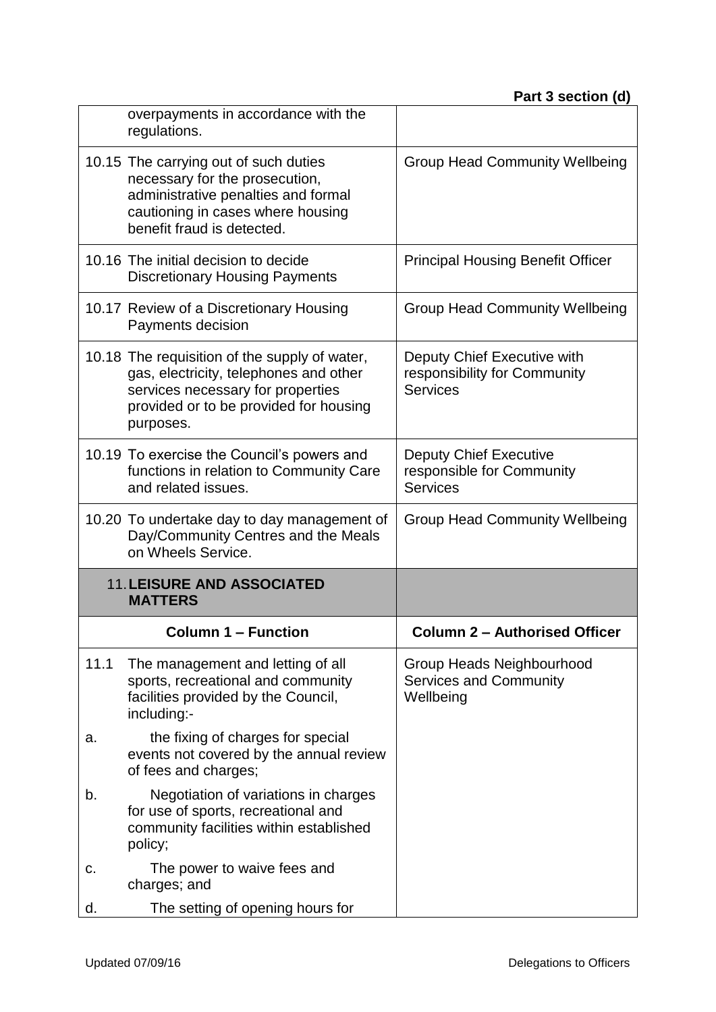|      | overpayments in accordance with the<br>regulations.                                                                                                                                 |                                                                                |
|------|-------------------------------------------------------------------------------------------------------------------------------------------------------------------------------------|--------------------------------------------------------------------------------|
|      | 10.15 The carrying out of such duties<br>necessary for the prosecution,<br>administrative penalties and formal<br>cautioning in cases where housing<br>benefit fraud is detected.   | <b>Group Head Community Wellbeing</b>                                          |
|      | 10.16 The initial decision to decide<br><b>Discretionary Housing Payments</b>                                                                                                       | <b>Principal Housing Benefit Officer</b>                                       |
|      | 10.17 Review of a Discretionary Housing<br>Payments decision                                                                                                                        | <b>Group Head Community Wellbeing</b>                                          |
|      | 10.18 The requisition of the supply of water,<br>gas, electricity, telephones and other<br>services necessary for properties<br>provided or to be provided for housing<br>purposes. | Deputy Chief Executive with<br>responsibility for Community<br><b>Services</b> |
|      | 10.19 To exercise the Council's powers and<br>functions in relation to Community Care<br>and related issues.                                                                        | <b>Deputy Chief Executive</b><br>responsible for Community<br><b>Services</b>  |
|      | 10.20 To undertake day to day management of<br>Day/Community Centres and the Meals<br>on Wheels Service.                                                                            | <b>Group Head Community Wellbeing</b>                                          |
|      | <b>11. LEISURE AND ASSOCIATED</b><br><b>MATTERS</b>                                                                                                                                 |                                                                                |
|      |                                                                                                                                                                                     |                                                                                |
|      | <b>Column 1 - Function</b>                                                                                                                                                          | <b>Column 2 - Authorised Officer</b>                                           |
| 11.1 | The management and letting of all<br>sports, recreational and community<br>facilities provided by the Council,<br>including:-                                                       | Group Heads Neighbourhood<br><b>Services and Community</b><br>Wellbeing        |
| a.   | the fixing of charges for special<br>events not covered by the annual review<br>of fees and charges;                                                                                |                                                                                |
| b.   | Negotiation of variations in charges<br>for use of sports, recreational and<br>community facilities within established<br>policy;                                                   |                                                                                |
| c.   | The power to waive fees and<br>charges; and                                                                                                                                         |                                                                                |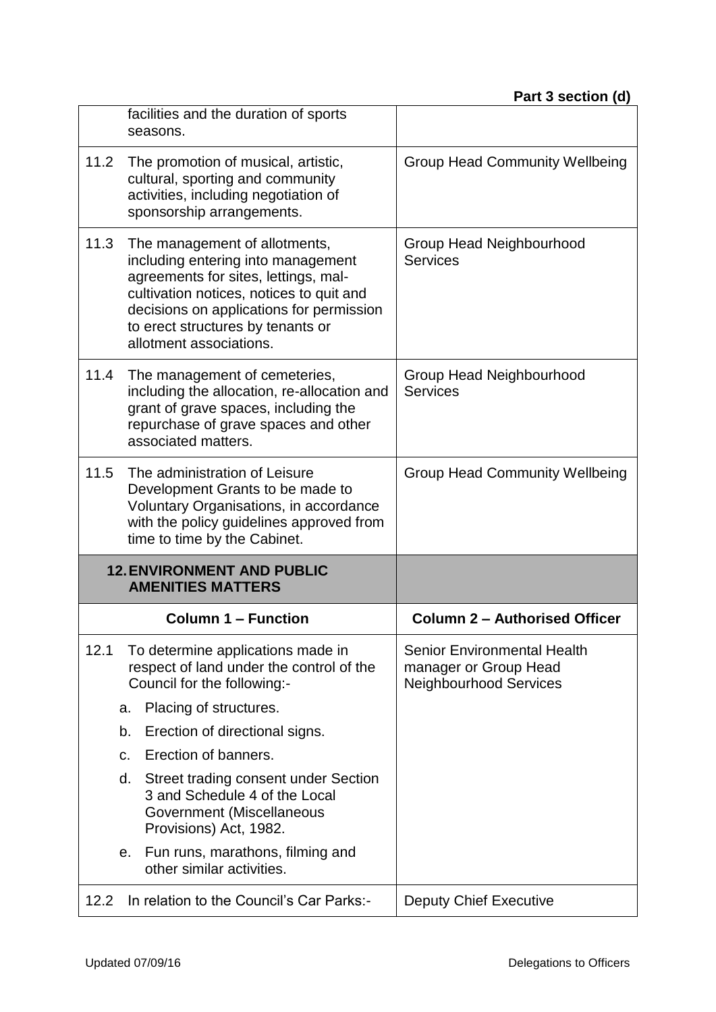|      | facilities and the duration of sports<br>seasons.                                                                                                                                                                                                                   |                                                                                       |
|------|---------------------------------------------------------------------------------------------------------------------------------------------------------------------------------------------------------------------------------------------------------------------|---------------------------------------------------------------------------------------|
| 11.2 | The promotion of musical, artistic,<br>cultural, sporting and community<br>activities, including negotiation of<br>sponsorship arrangements.                                                                                                                        | <b>Group Head Community Wellbeing</b>                                                 |
| 11.3 | The management of allotments,<br>including entering into management<br>agreements for sites, lettings, mal-<br>cultivation notices, notices to quit and<br>decisions on applications for permission<br>to erect structures by tenants or<br>allotment associations. | Group Head Neighbourhood<br><b>Services</b>                                           |
| 11.4 | The management of cemeteries,<br>including the allocation, re-allocation and<br>grant of grave spaces, including the<br>repurchase of grave spaces and other<br>associated matters.                                                                                 | Group Head Neighbourhood<br><b>Services</b>                                           |
| 11.5 | The administration of Leisure<br>Development Grants to be made to<br>Voluntary Organisations, in accordance<br>with the policy guidelines approved from                                                                                                             | <b>Group Head Community Wellbeing</b>                                                 |
|      | time to time by the Cabinet.                                                                                                                                                                                                                                        |                                                                                       |
|      | <b>12. ENVIRONMENT AND PUBLIC</b><br><b>AMENITIES MATTERS</b>                                                                                                                                                                                                       |                                                                                       |
|      | <b>Column 1 – Function</b>                                                                                                                                                                                                                                          | <b>Column 2 - Authorised Officer</b>                                                  |
| 12.1 | To determine applications made in<br>respect of land under the control of the<br>Council for the following:-                                                                                                                                                        | <b>Senior Environmental Health</b><br>manager or Group Head<br>Neighbourhood Services |
|      | Placing of structures.<br>a.                                                                                                                                                                                                                                        |                                                                                       |
|      | Erection of directional signs.<br>b.                                                                                                                                                                                                                                |                                                                                       |
|      | Erection of banners.<br>C.                                                                                                                                                                                                                                          |                                                                                       |
|      | Street trading consent under Section<br>d.<br>3 and Schedule 4 of the Local<br>Government (Miscellaneous<br>Provisions) Act, 1982.                                                                                                                                  |                                                                                       |
|      | Fun runs, marathons, filming and<br>е.<br>other similar activities.                                                                                                                                                                                                 |                                                                                       |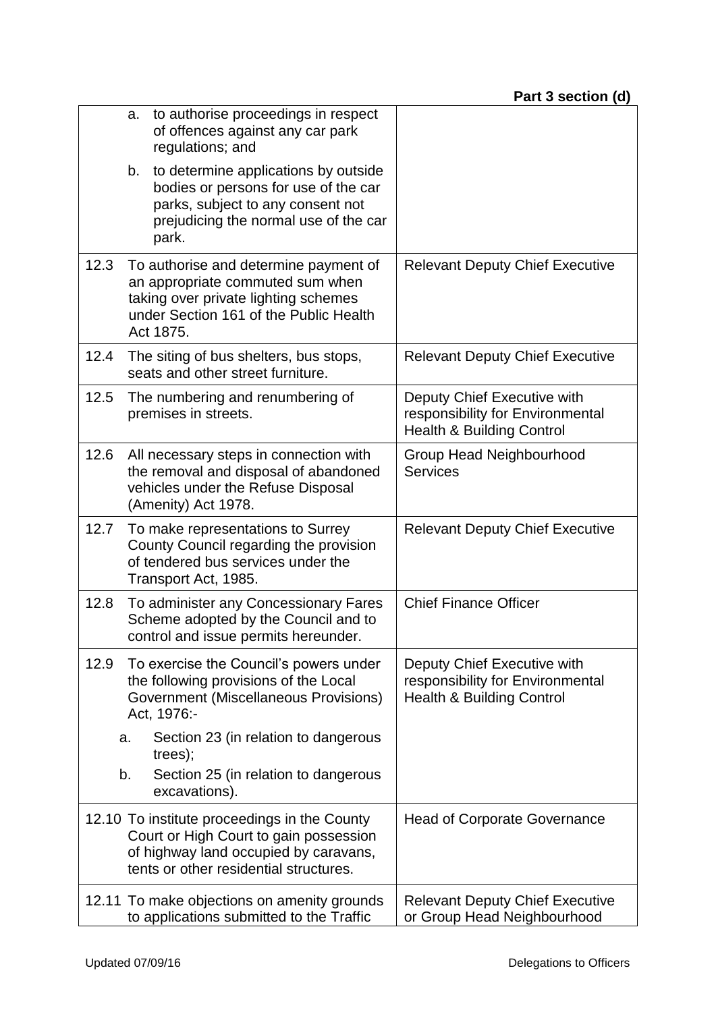|      | a.       | to authorise proceedings in respect<br>of offences against any car park<br>regulations; and                                                                               |                                                                                                         |
|------|----------|---------------------------------------------------------------------------------------------------------------------------------------------------------------------------|---------------------------------------------------------------------------------------------------------|
|      | b.       | to determine applications by outside<br>bodies or persons for use of the car<br>parks, subject to any consent not<br>prejudicing the normal use of the car<br>park.       |                                                                                                         |
| 12.3 |          | To authorise and determine payment of<br>an appropriate commuted sum when<br>taking over private lighting schemes<br>under Section 161 of the Public Health<br>Act 1875.  | <b>Relevant Deputy Chief Executive</b>                                                                  |
| 12.4 |          | The siting of bus shelters, bus stops,<br>seats and other street furniture.                                                                                               | <b>Relevant Deputy Chief Executive</b>                                                                  |
| 12.5 |          | The numbering and renumbering of<br>premises in streets.                                                                                                                  | Deputy Chief Executive with<br>responsibility for Environmental<br><b>Health &amp; Building Control</b> |
| 12.6 |          | All necessary steps in connection with<br>the removal and disposal of abandoned<br>vehicles under the Refuse Disposal<br>(Amenity) Act 1978.                              | Group Head Neighbourhood<br><b>Services</b>                                                             |
| 12.7 |          | To make representations to Surrey<br>County Council regarding the provision<br>of tendered bus services under the<br>Transport Act, 1985.                                 | <b>Relevant Deputy Chief Executive</b>                                                                  |
| 12.8 |          | To administer any Concessionary Fares<br>Scheme adopted by the Council and to<br>control and issue permits hereunder.                                                     | <b>Chief Finance Officer</b>                                                                            |
| 12.9 |          | To exercise the Council's powers under<br>the following provisions of the Local<br>Government (Miscellaneous Provisions)<br>Act, 1976:-                                   | Deputy Chief Executive with<br>responsibility for Environmental<br><b>Health &amp; Building Control</b> |
|      | a.<br>b. | Section 23 (in relation to dangerous<br>trees);<br>Section 25 (in relation to dangerous<br>excavations).                                                                  |                                                                                                         |
|      |          | 12.10 To institute proceedings in the County<br>Court or High Court to gain possession<br>of highway land occupied by caravans,<br>tents or other residential structures. | <b>Head of Corporate Governance</b>                                                                     |
|      |          | 12.11 To make objections on amenity grounds<br>to applications submitted to the Traffic                                                                                   | <b>Relevant Deputy Chief Executive</b><br>or Group Head Neighbourhood                                   |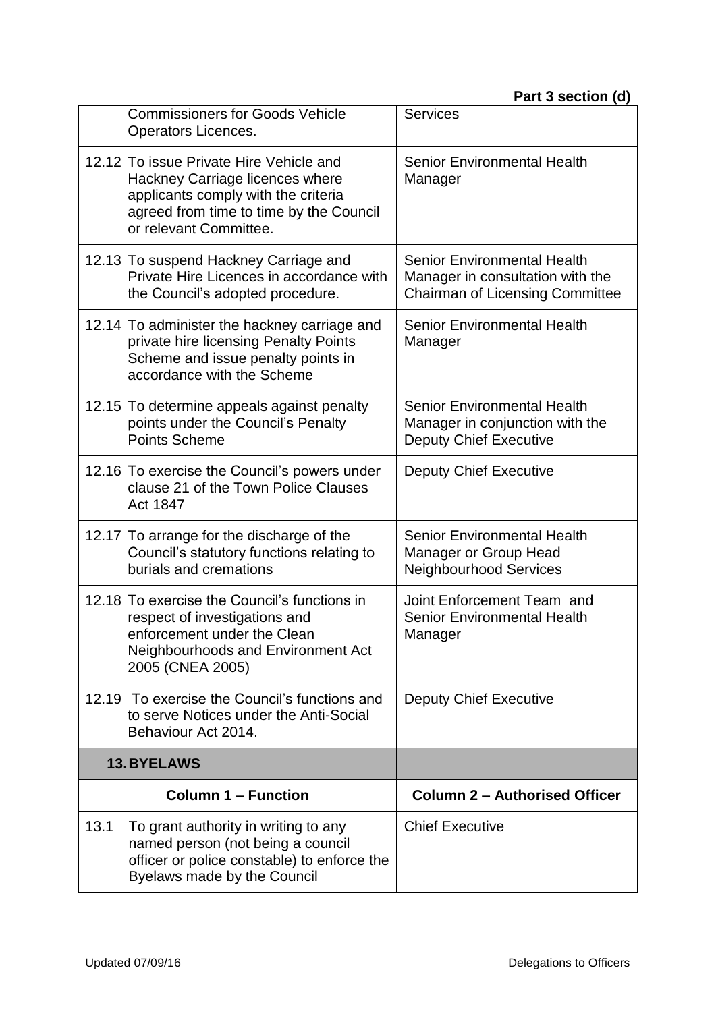|      | <b>Commissioners for Goods Vehicle</b><br>Operators Licences.                                                                                                                          | <b>Services</b>                                                                                                  |
|------|----------------------------------------------------------------------------------------------------------------------------------------------------------------------------------------|------------------------------------------------------------------------------------------------------------------|
|      | 12.12 To issue Private Hire Vehicle and<br>Hackney Carriage licences where<br>applicants comply with the criteria<br>agreed from time to time by the Council<br>or relevant Committee. | <b>Senior Environmental Health</b><br>Manager                                                                    |
|      | 12.13 To suspend Hackney Carriage and<br>Private Hire Licences in accordance with<br>the Council's adopted procedure.                                                                  | <b>Senior Environmental Health</b><br>Manager in consultation with the<br><b>Chairman of Licensing Committee</b> |
|      | 12.14 To administer the hackney carriage and<br>private hire licensing Penalty Points<br>Scheme and issue penalty points in<br>accordance with the Scheme                              | <b>Senior Environmental Health</b><br>Manager                                                                    |
|      | 12.15 To determine appeals against penalty<br>points under the Council's Penalty<br><b>Points Scheme</b>                                                                               | <b>Senior Environmental Health</b><br>Manager in conjunction with the<br><b>Deputy Chief Executive</b>           |
|      | 12.16 To exercise the Council's powers under<br>clause 21 of the Town Police Clauses<br>Act 1847                                                                                       | <b>Deputy Chief Executive</b>                                                                                    |
|      | 12.17 To arrange for the discharge of the<br>Council's statutory functions relating to<br>burials and cremations                                                                       | <b>Senior Environmental Health</b><br>Manager or Group Head<br><b>Neighbourhood Services</b>                     |
|      | 12.18 To exercise the Council's functions in<br>respect of investigations and<br>enforcement under the Clean<br>Neighbourhoods and Environment Act<br>2005 (CNEA 2005)                 | Joint Enforcement Team and<br><b>Senior Environmental Health</b><br>Manager                                      |
|      | 12.19 To exercise the Council's functions and<br>to serve Notices under the Anti-Social<br>Behaviour Act 2014.                                                                         | <b>Deputy Chief Executive</b>                                                                                    |
|      | <b>13.BYELAWS</b>                                                                                                                                                                      |                                                                                                                  |
|      | <b>Column 1 – Function</b>                                                                                                                                                             | <b>Column 2 - Authorised Officer</b>                                                                             |
| 13.1 | To grant authority in writing to any<br>named person (not being a council<br>officer or police constable) to enforce the<br>Byelaws made by the Council                                | <b>Chief Executive</b>                                                                                           |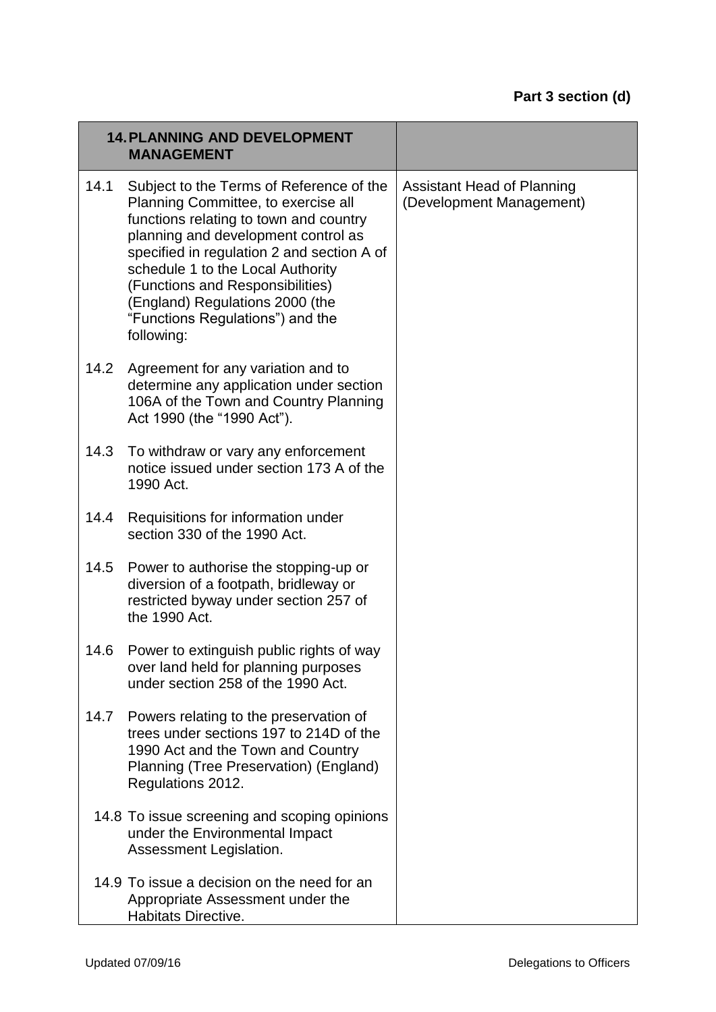|      | <b>14. PLANNING AND DEVELOPMENT</b><br><b>MANAGEMENT</b>                                                                                                                                                                                                                                                                                                                     |                                                               |
|------|------------------------------------------------------------------------------------------------------------------------------------------------------------------------------------------------------------------------------------------------------------------------------------------------------------------------------------------------------------------------------|---------------------------------------------------------------|
| 14.1 | Subject to the Terms of Reference of the<br>Planning Committee, to exercise all<br>functions relating to town and country<br>planning and development control as<br>specified in regulation 2 and section A of<br>schedule 1 to the Local Authority<br>(Functions and Responsibilities)<br>(England) Regulations 2000 (the<br>"Functions Regulations") and the<br>following: | <b>Assistant Head of Planning</b><br>(Development Management) |
| 14.2 | Agreement for any variation and to<br>determine any application under section<br>106A of the Town and Country Planning<br>Act 1990 (the "1990 Act").                                                                                                                                                                                                                         |                                                               |
| 14.3 | To withdraw or vary any enforcement<br>notice issued under section 173 A of the<br>1990 Act.                                                                                                                                                                                                                                                                                 |                                                               |
| 14.4 | Requisitions for information under<br>section 330 of the 1990 Act.                                                                                                                                                                                                                                                                                                           |                                                               |
| 14.5 | Power to authorise the stopping-up or<br>diversion of a footpath, bridleway or<br>restricted byway under section 257 of<br>the 1990 Act.                                                                                                                                                                                                                                     |                                                               |
| 14.6 | Power to extinguish public rights of way<br>over land held for planning purposes<br>under section 258 of the 1990 Act.                                                                                                                                                                                                                                                       |                                                               |
| 14.7 | Powers relating to the preservation of<br>trees under sections 197 to 214D of the<br>1990 Act and the Town and Country<br>Planning (Tree Preservation) (England)<br>Regulations 2012.                                                                                                                                                                                        |                                                               |
|      | 14.8 To issue screening and scoping opinions<br>under the Environmental Impact<br>Assessment Legislation.                                                                                                                                                                                                                                                                    |                                                               |
|      | 14.9 To issue a decision on the need for an<br>Appropriate Assessment under the<br>Habitats Directive.                                                                                                                                                                                                                                                                       |                                                               |